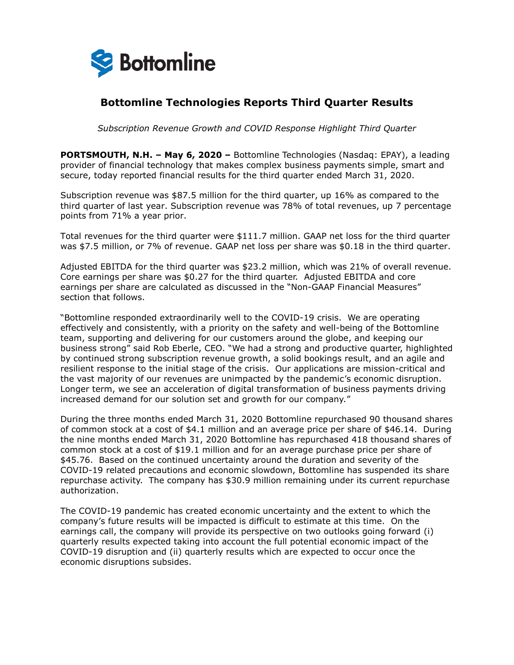

# **Bottomline Technologies Reports Third Quarter Results**

*Subscription Revenue Growth and COVID Response Highlight Third Quarter*

**PORTSMOUTH, N.H. – May 6, 2020 –** Bottomline Technologies (Nasdaq: EPAY), a leading provider of financial technology that makes complex business payments simple, smart and secure, today reported financial results for the third quarter ended March 31, 2020.

Subscription revenue was \$87.5 million for the third quarter, up 16% as compared to the third quarter of last year. Subscription revenue was 78% of total revenues, up 7 percentage points from 71% a year prior.

Total revenues for the third quarter were \$111.7 million. GAAP net loss for the third quarter was \$7.5 million, or 7% of revenue. GAAP net loss per share was \$0.18 in the third quarter.

Adjusted EBITDA for the third quarter was \$23.2 million, which was 21% of overall revenue. Core earnings per share was \$0.27 for the third quarter. Adjusted EBITDA and core earnings per share are calculated as discussed in the "Non-GAAP Financial Measures" section that follows.

"Bottomline responded extraordinarily well to the COVID-19 crisis. We are operating effectively and consistently, with a priority on the safety and well-being of the Bottomline team, supporting and delivering for our customers around the globe, and keeping our business strong" said Rob Eberle, CEO. "We had a strong and productive quarter, highlighted by continued strong subscription revenue growth, a solid bookings result, and an agile and resilient response to the initial stage of the crisis. Our applications are mission-critical and the vast majority of our revenues are unimpacted by the pandemic's economic disruption. Longer term, we see an acceleration of digital transformation of business payments driving increased demand for our solution set and growth for our company."

During the three months ended March 31, 2020 Bottomline repurchased 90 thousand shares of common stock at a cost of \$4.1 million and an average price per share of \$46.14. During the nine months ended March 31, 2020 Bottomline has repurchased 418 thousand shares of common stock at a cost of \$19.1 million and for an average purchase price per share of \$45.76. Based on the continued uncertainty around the duration and severity of the COVID-19 related precautions and economic slowdown, Bottomline has suspended its share repurchase activity. The company has \$30.9 million remaining under its current repurchase authorization.

The COVID-19 pandemic has created economic uncertainty and the extent to which the company's future results will be impacted is difficult to estimate at this time. On the earnings call, the company will provide its perspective on two outlooks going forward (i) quarterly results expected taking into account the full potential economic impact of the COVID-19 disruption and (ii) quarterly results which are expected to occur once the economic disruptions subsides.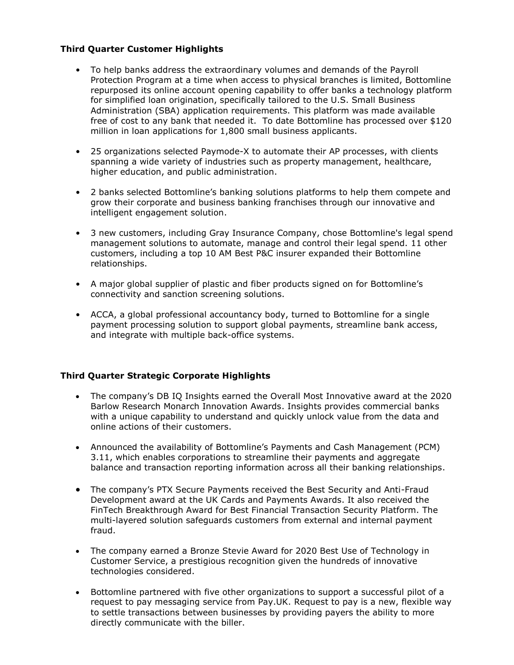# **Third Quarter Customer Highlights**

- To help banks address the extraordinary volumes and demands of the Payroll Protection Program at a time when access to physical branches is limited, Bottomline repurposed its online account opening capability to offer banks a technology platform for simplified loan origination, specifically tailored to the U.S. Small Business Administration (SBA) application requirements. This platform was made available free of cost to any bank that needed it. To date Bottomline has processed over \$120 million in loan applications for 1,800 small business applicants.
- 25 organizations selected Paymode-X to automate their AP processes, with clients spanning a wide variety of industries such as property management, healthcare, higher education, and public administration.
- 2 banks selected Bottomline's banking solutions platforms to help them compete and grow their corporate and business banking franchises through our innovative and intelligent engagement solution.
- 3 new customers, including Gray Insurance Company, chose Bottomline's legal spend management solutions to automate, manage and control their legal spend. 11 other customers, including a top 10 AM Best P&C insurer expanded their Bottomline relationships.
- A major global supplier of plastic and fiber products signed on for Bottomline's connectivity and sanction screening solutions.
- ACCA, a global professional accountancy body, turned to Bottomline for a single payment processing solution to support global payments, streamline bank access, and integrate with multiple back-office systems.

# **Third Quarter Strategic Corporate Highlights**

- The company's DB IQ Insights earned the Overall Most Innovative award at the 2020 Barlow Research Monarch Innovation Awards. Insights provides commercial banks with a unique capability to understand and quickly unlock value from the data and online actions of their customers.
- Announced the availability of Bottomline's Payments and Cash Management (PCM) 3.11, which enables corporations to streamline their payments and aggregate balance and transaction reporting information across all their banking relationships.
- The company's PTX Secure Payments received the Best Security and Anti-Fraud Development award at the UK Cards and Payments Awards. It also received the FinTech Breakthrough Award for Best Financial Transaction Security Platform. The multi-layered solution safeguards customers from external and internal payment fraud.
- The company earned a Bronze Stevie Award for 2020 Best Use of Technology in Customer Service, a prestigious recognition given the hundreds of innovative technologies considered.
- Bottomline partnered with five other organizations to support a successful pilot of a request to pay messaging service from Pay.UK. Request to pay is a new, flexible way to settle transactions between businesses by providing payers the ability to more directly communicate with the biller.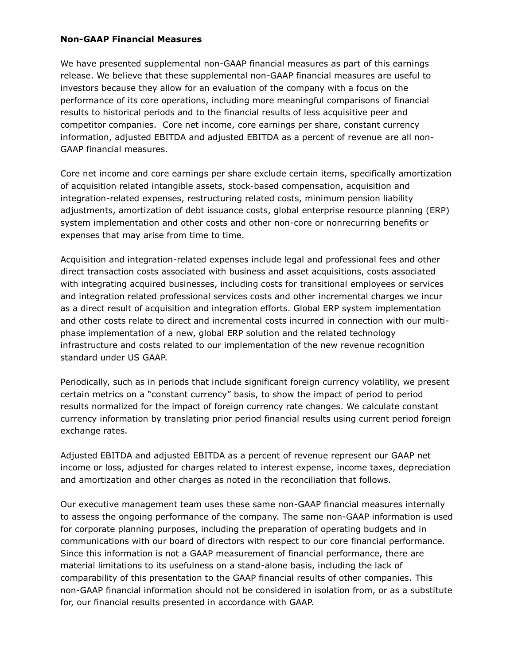# **Non-GAAP Financial Measures**

We have presented supplemental non-GAAP financial measures as part of this earnings release. We believe that these supplemental non-GAAP financial measures are useful to investors because they allow for an evaluation of the company with a focus on the performance of its core operations, including more meaningful comparisons of financial results to historical periods and to the financial results of less acquisitive peer and competitor companies. Core net income, core earnings per share, constant currency information, adjusted EBITDA and adjusted EBITDA as a percent of revenue are all non-GAAP financial measures.

Core net income and core earnings per share exclude certain items, specifically amortization of acquisition related intangible assets, stock-based compensation, acquisition and integration-related expenses, restructuring related costs, minimum pension liability adjustments, amortization of debt issuance costs, global enterprise resource planning (ERP) system implementation and other costs and other non-core or nonrecurring benefits or expenses that may arise from time to time.

Acquisition and integration-related expenses include legal and professional fees and other direct transaction costs associated with business and asset acquisitions, costs associated with integrating acquired businesses, including costs for transitional employees or services and integration related professional services costs and other incremental charges we incur as a direct result of acquisition and integration efforts. Global ERP system implementation and other costs relate to direct and incremental costs incurred in connection with our multiphase implementation of a new, global ERP solution and the related technology infrastructure and costs related to our implementation of the new revenue recognition standard under US GAAP.

Periodically, such as in periods that include significant foreign currency volatility, we present certain metrics on a "constant currency" basis, to show the impact of period to period results normalized for the impact of foreign currency rate changes. We calculate constant currency information by translating prior period financial results using current period foreign exchange rates.

Adjusted EBITDA and adjusted EBITDA as a percent of revenue represent our GAAP net income or loss, adjusted for charges related to interest expense, income taxes, depreciation and amortization and other charges as noted in the reconciliation that follows.

Our executive management team uses these same non-GAAP financial measures internally to assess the ongoing performance of the company. The same non-GAAP information is used for corporate planning purposes, including the preparation of operating budgets and in communications with our board of directors with respect to our core financial performance. Since this information is not a GAAP measurement of financial performance, there are material limitations to its usefulness on a stand-alone basis, including the lack of comparability of this presentation to the GAAP financial results of other companies. This non-GAAP financial information should not be considered in isolation from, or as a substitute for, our financial results presented in accordance with GAAP.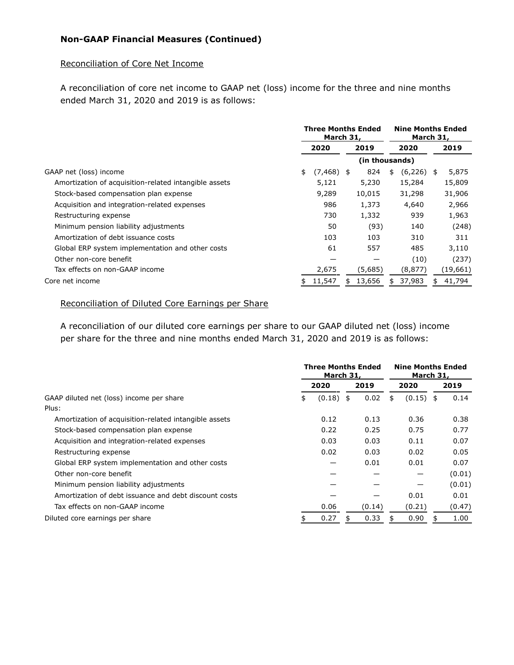# **Non-GAAP Financial Measures (Continued)**

### Reconciliation of Core Net Income

A reconciliation of core net income to GAAP net (loss) income for the three and nine months ended March 31, 2020 and 2019 is as follows:

|                                                       | <b>Three Months Ended</b><br>March 31, |              |                |         | <b>Nine Months Ended</b><br>March 31, |         |    |          |  |  |  |  |  |  |  |  |  |  |  |  |  |  |  |  |  |  |  |  |  |  |  |  |  |  |  |  |  |  |  |  |  |  |  |  |  |  |  |  |  |  |  |      |  |      |
|-------------------------------------------------------|----------------------------------------|--------------|----------------|---------|---------------------------------------|---------|----|----------|--|--|--|--|--|--|--|--|--|--|--|--|--|--|--|--|--|--|--|--|--|--|--|--|--|--|--|--|--|--|--|--|--|--|--|--|--|--|--|--|--|--|--|------|--|------|
|                                                       |                                        | 2020         |                |         |                                       |         |    | 2019     |  |  |  |  |  |  |  |  |  |  |  |  |  |  |  |  |  |  |  |  |  |  |  |  |  |  |  |  |  |  |  |  |  |  |  |  |  |  |  |  |  |  |  | 2020 |  | 2019 |
|                                                       |                                        |              | (in thousands) |         |                                       |         |    |          |  |  |  |  |  |  |  |  |  |  |  |  |  |  |  |  |  |  |  |  |  |  |  |  |  |  |  |  |  |  |  |  |  |  |  |  |  |  |  |  |  |  |  |      |  |      |
| GAAP net (loss) income                                | \$                                     | $(7,468)$ \$ |                | 824     | \$                                    | (6,226) | \$ | 5,875    |  |  |  |  |  |  |  |  |  |  |  |  |  |  |  |  |  |  |  |  |  |  |  |  |  |  |  |  |  |  |  |  |  |  |  |  |  |  |  |  |  |  |  |      |  |      |
| Amortization of acquisition-related intangible assets |                                        | 5,121        |                | 5,230   |                                       | 15,284  |    | 15,809   |  |  |  |  |  |  |  |  |  |  |  |  |  |  |  |  |  |  |  |  |  |  |  |  |  |  |  |  |  |  |  |  |  |  |  |  |  |  |  |  |  |  |  |      |  |      |
| Stock-based compensation plan expense                 |                                        | 9,289        |                | 10,015  |                                       | 31,298  |    | 31,906   |  |  |  |  |  |  |  |  |  |  |  |  |  |  |  |  |  |  |  |  |  |  |  |  |  |  |  |  |  |  |  |  |  |  |  |  |  |  |  |  |  |  |  |      |  |      |
| Acquisition and integration-related expenses          |                                        | 986          |                | 1,373   |                                       | 4,640   |    | 2,966    |  |  |  |  |  |  |  |  |  |  |  |  |  |  |  |  |  |  |  |  |  |  |  |  |  |  |  |  |  |  |  |  |  |  |  |  |  |  |  |  |  |  |  |      |  |      |
| Restructuring expense                                 |                                        | 730          |                | 1,332   |                                       | 939     |    | 1,963    |  |  |  |  |  |  |  |  |  |  |  |  |  |  |  |  |  |  |  |  |  |  |  |  |  |  |  |  |  |  |  |  |  |  |  |  |  |  |  |  |  |  |  |      |  |      |
| Minimum pension liability adjustments                 |                                        | 50           |                | (93)    |                                       | 140     |    | (248)    |  |  |  |  |  |  |  |  |  |  |  |  |  |  |  |  |  |  |  |  |  |  |  |  |  |  |  |  |  |  |  |  |  |  |  |  |  |  |  |  |  |  |  |      |  |      |
| Amortization of debt issuance costs                   |                                        | 103          |                | 103     |                                       | 310     |    | 311      |  |  |  |  |  |  |  |  |  |  |  |  |  |  |  |  |  |  |  |  |  |  |  |  |  |  |  |  |  |  |  |  |  |  |  |  |  |  |  |  |  |  |  |      |  |      |
| Global ERP system implementation and other costs      |                                        | 61           |                | 557     |                                       | 485     |    | 3,110    |  |  |  |  |  |  |  |  |  |  |  |  |  |  |  |  |  |  |  |  |  |  |  |  |  |  |  |  |  |  |  |  |  |  |  |  |  |  |  |  |  |  |  |      |  |      |
| Other non-core benefit                                |                                        |              |                |         |                                       | (10)    |    | (237)    |  |  |  |  |  |  |  |  |  |  |  |  |  |  |  |  |  |  |  |  |  |  |  |  |  |  |  |  |  |  |  |  |  |  |  |  |  |  |  |  |  |  |  |      |  |      |
| Tax effects on non-GAAP income                        |                                        | 2,675        |                | (5,685) |                                       | (8,877) |    | (19,661) |  |  |  |  |  |  |  |  |  |  |  |  |  |  |  |  |  |  |  |  |  |  |  |  |  |  |  |  |  |  |  |  |  |  |  |  |  |  |  |  |  |  |  |      |  |      |
| Core net income                                       |                                        | 11,547       | S.             | 13,656  |                                       | 37,983  |    | 41,794   |  |  |  |  |  |  |  |  |  |  |  |  |  |  |  |  |  |  |  |  |  |  |  |  |  |  |  |  |  |  |  |  |  |  |  |  |  |  |  |  |  |  |  |      |  |      |

# Reconciliation of Diluted Core Earnings per Share

A reconciliation of our diluted core earnings per share to our GAAP diluted net (loss) income per share for the three and nine months ended March 31, 2020 and 2019 is as follows:

|                                                       | <b>Three Months Ended</b><br>March 31, |             |  | <b>Nine Months Ended</b><br>March 31, |    |             |  |        |
|-------------------------------------------------------|----------------------------------------|-------------|--|---------------------------------------|----|-------------|--|--------|
|                                                       |                                        | 2020        |  | 2019                                  |    | 2020        |  | 2019   |
| GAAP diluted net (loss) income per share              | \$                                     | $(0.18)$ \$ |  | 0.02                                  | \$ | $(0.15)$ \$ |  | 0.14   |
| Plus:                                                 |                                        |             |  |                                       |    |             |  |        |
| Amortization of acquisition-related intangible assets |                                        | 0.12        |  | 0.13                                  |    | 0.36        |  | 0.38   |
| Stock-based compensation plan expense                 |                                        | 0.22        |  | 0.25                                  |    | 0.75        |  | 0.77   |
| Acquisition and integration-related expenses          |                                        | 0.03        |  | 0.03                                  |    | 0.11        |  | 0.07   |
| Restructuring expense                                 |                                        | 0.02        |  | 0.03                                  |    | 0.02        |  | 0.05   |
| Global ERP system implementation and other costs      |                                        |             |  | 0.01                                  |    | 0.01        |  | 0.07   |
| Other non-core benefit                                |                                        |             |  |                                       |    |             |  | (0.01) |
| Minimum pension liability adjustments                 |                                        |             |  |                                       |    |             |  | (0.01) |
| Amortization of debt issuance and debt discount costs |                                        |             |  |                                       |    | 0.01        |  | 0.01   |
| Tax effects on non-GAAP income                        |                                        | 0.06        |  | (0.14)                                |    | (0.21)      |  | (0.47) |
| Diluted core earnings per share                       |                                        | 0.27        |  | 0.33                                  |    | 0.90        |  | 1.00   |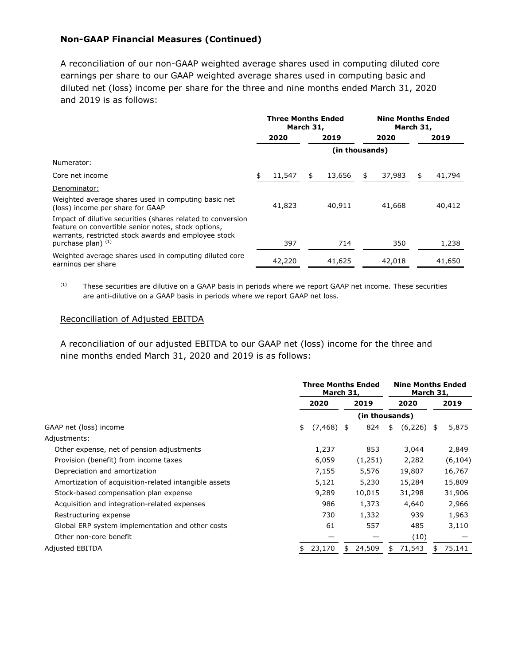# **Non-GAAP Financial Measures (Continued)**

A reconciliation of our non-GAAP weighted average shares used in computing diluted core earnings per share to our GAAP weighted average shares used in computing basic and diluted net (loss) income per share for the three and nine months ended March 31, 2020 and 2019 is as follows:

|                                                                                                                                                                                                    |              | <b>Three Months Ended</b> | March 31, |                | <b>Nine Months Ended</b> | March 31, |        |
|----------------------------------------------------------------------------------------------------------------------------------------------------------------------------------------------------|--------------|---------------------------|-----------|----------------|--------------------------|-----------|--------|
|                                                                                                                                                                                                    | 2020<br>2019 |                           |           | 2020           |                          | 2019      |        |
|                                                                                                                                                                                                    |              |                           |           | (in thousands) |                          |           |        |
| Numerator:                                                                                                                                                                                         |              |                           |           |                |                          |           |        |
| Core net income                                                                                                                                                                                    | \$           | 11,547                    | \$        | 13,656         | \$<br>37,983             | \$        | 41,794 |
| Denominator:                                                                                                                                                                                       |              |                           |           |                |                          |           |        |
| Weighted average shares used in computing basic net<br>(loss) income per share for GAAP                                                                                                            |              | 41,823                    |           | 40,911         | 41,668                   |           | 40,412 |
| Impact of dilutive securities (shares related to conversion<br>feature on convertible senior notes, stock options,<br>warrants, restricted stock awards and employee stock<br>purchase plan) $(1)$ |              | 397                       |           | 714            | 350                      |           | 1,238  |
| Weighted average shares used in computing diluted core                                                                                                                                             |              | 42,220                    |           | 41,625         | 42,018                   |           | 41,650 |
| earnings per share                                                                                                                                                                                 |              |                           |           |                |                          |           |        |

 $(1)$  These securities are dilutive on a GAAP basis in periods where we report GAAP net income. These securities are anti-dilutive on a GAAP basis in periods where we report GAAP net loss.

#### Reconciliation of Adjusted EBITDA

A reconciliation of our adjusted EBITDA to our GAAP net (loss) income for the three and nine months ended March 31, 2020 and 2019 is as follows:

|                                                       | <b>Three Months Ended</b><br>March 31, |    |         |    | <b>Nine Months Ended</b><br>March 31, |    |          |  |  |  |  |  |  |  |  |  |  |  |  |  |  |  |  |  |  |  |  |  |  |  |      |  |      |
|-------------------------------------------------------|----------------------------------------|----|---------|----|---------------------------------------|----|----------|--|--|--|--|--|--|--|--|--|--|--|--|--|--|--|--|--|--|--|--|--|--|--|------|--|------|
|                                                       | 2020                                   |    | 2019    |    |                                       |    |          |  |  |  |  |  |  |  |  |  |  |  |  |  |  |  |  |  |  |  |  |  |  |  | 2020 |  | 2019 |
|                                                       | (in thousands)                         |    |         |    |                                       |    |          |  |  |  |  |  |  |  |  |  |  |  |  |  |  |  |  |  |  |  |  |  |  |  |      |  |      |
| GAAP net (loss) income                                | \$<br>$(7, 468)$ \$                    |    | 824     | \$ | (6, 226)                              | \$ | 5,875    |  |  |  |  |  |  |  |  |  |  |  |  |  |  |  |  |  |  |  |  |  |  |  |      |  |      |
| Adjustments:                                          |                                        |    |         |    |                                       |    |          |  |  |  |  |  |  |  |  |  |  |  |  |  |  |  |  |  |  |  |  |  |  |  |      |  |      |
| Other expense, net of pension adjustments             | 1,237                                  |    | 853     |    | 3,044                                 |    | 2,849    |  |  |  |  |  |  |  |  |  |  |  |  |  |  |  |  |  |  |  |  |  |  |  |      |  |      |
| Provision (benefit) from income taxes                 | 6,059                                  |    | (1,251) |    | 2,282                                 |    | (6, 104) |  |  |  |  |  |  |  |  |  |  |  |  |  |  |  |  |  |  |  |  |  |  |  |      |  |      |
| Depreciation and amortization                         | 7,155                                  |    | 5,576   |    | 19,807                                |    | 16,767   |  |  |  |  |  |  |  |  |  |  |  |  |  |  |  |  |  |  |  |  |  |  |  |      |  |      |
| Amortization of acquisition-related intangible assets | 5,121                                  |    | 5,230   |    | 15,284                                |    | 15,809   |  |  |  |  |  |  |  |  |  |  |  |  |  |  |  |  |  |  |  |  |  |  |  |      |  |      |
| Stock-based compensation plan expense                 | 9,289                                  |    | 10,015  |    | 31,298                                |    | 31,906   |  |  |  |  |  |  |  |  |  |  |  |  |  |  |  |  |  |  |  |  |  |  |  |      |  |      |
| Acquisition and integration-related expenses          | 986                                    |    | 1,373   |    | 4,640                                 |    | 2,966    |  |  |  |  |  |  |  |  |  |  |  |  |  |  |  |  |  |  |  |  |  |  |  |      |  |      |
| Restructuring expense                                 | 730                                    |    | 1,332   |    | 939                                   |    | 1,963    |  |  |  |  |  |  |  |  |  |  |  |  |  |  |  |  |  |  |  |  |  |  |  |      |  |      |
| Global ERP system implementation and other costs      | 61                                     |    | 557     |    | 485                                   |    | 3,110    |  |  |  |  |  |  |  |  |  |  |  |  |  |  |  |  |  |  |  |  |  |  |  |      |  |      |
| Other non-core benefit                                |                                        |    |         |    | (10)                                  |    |          |  |  |  |  |  |  |  |  |  |  |  |  |  |  |  |  |  |  |  |  |  |  |  |      |  |      |
| <b>Adjusted EBITDA</b>                                | 23,170                                 | \$ | 24,509  | \$ | 71,543                                | S  | 75,141   |  |  |  |  |  |  |  |  |  |  |  |  |  |  |  |  |  |  |  |  |  |  |  |      |  |      |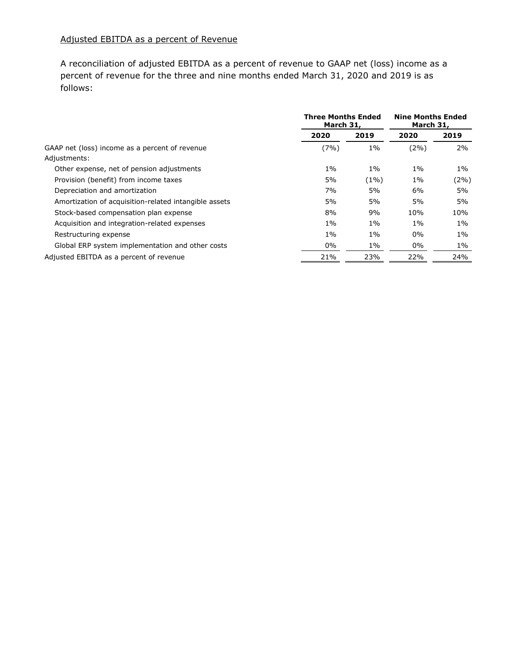# Adjusted EBITDA as a percent of Revenue

A reconciliation of adjusted EBITDA as a percent of revenue to GAAP net (loss) income as a percent of revenue for the three and nine months ended March 31, 2020 and 2019 is as follows:

|                                                       |       | Three Months Ended<br>March 31, |       | <b>Nine Months Ended</b><br>March 31, |
|-------------------------------------------------------|-------|---------------------------------|-------|---------------------------------------|
|                                                       | 2020  | 2019                            | 2020  | 2019                                  |
| GAAP net (loss) income as a percent of revenue        | (7%)  | $1\%$                           | (2%)  | 2%                                    |
| Adjustments:                                          |       |                                 |       |                                       |
| Other expense, net of pension adjustments             | $1\%$ | $1\%$                           | $1\%$ | $1\%$                                 |
| Provision (benefit) from income taxes                 | 5%    | $(1\%)$                         | $1\%$ | $(2\%)$                               |
| Depreciation and amortization                         | 7%    | 5%                              | 6%    | 5%                                    |
| Amortization of acquisition-related intangible assets | 5%    | 5%                              | 5%    | 5%                                    |
| Stock-based compensation plan expense                 | 8%    | 9%                              | 10%   | 10%                                   |
| Acquisition and integration-related expenses          | $1\%$ | $1\%$                           | $1\%$ | $1\%$                                 |
| Restructuring expense                                 | $1\%$ | $1\%$                           | 0%    | $1\%$                                 |
| Global ERP system implementation and other costs      | 0%    | $1\%$                           | 0%    | $1\%$                                 |
| Adjusted EBITDA as a percent of revenue               | 21%   | 23%                             | 22%   | 24%                                   |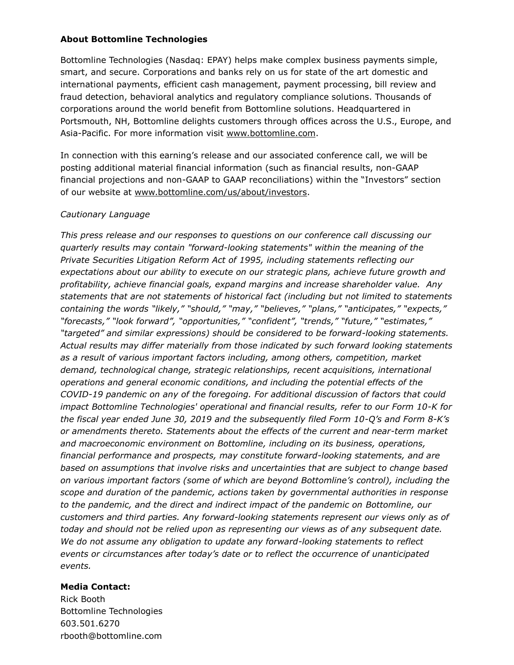# **About Bottomline Technologies**

Bottomline Technologies (Nasdaq: EPAY) helps make complex business payments simple, smart, and secure. Corporations and banks rely on us for state of the art domestic and international payments, efficient cash management, payment processing, bill review and fraud detection, behavioral analytics and regulatory compliance solutions. Thousands of corporations around the world benefit from Bottomline solutions. Headquartered in Portsmouth, NH, Bottomline delights customers through offices across the U.S., Europe, and Asia-Pacific. For more information visit www.bottomline.com.

In connection with this earning's release and our associated conference call, we will be posting additional material financial information (such as financial results, non-GAAP financial projections and non-GAAP to GAAP reconciliations) within the "Investors" section of our website at www.bottomline.com/us/about/investors.

# *Cautionary Language*

*This press release and our responses to questions on our conference call discussing our quarterly results may contain "forward-looking statements" within the meaning of the Private Securities Litigation Reform Act of 1995, including statements reflecting our expectations about our ability to execute on our strategic plans, achieve future growth and profitability, achieve financial goals, expand margins and increase shareholder value. Any statements that are not statements of historical fact (including but not limited to statements containing the words "likely," "should," "may," "believes," "plans," "anticipates," "expects," "forecasts," "look forward", "opportunities," "confident", "trends," "future," "estimates," "targeted" and similar expressions) should be considered to be forward-looking statements. Actual results may differ materially from those indicated by such forward looking statements as a result of various important factors including, among others, competition, market demand, technological change, strategic relationships, recent acquisitions, international operations and general economic conditions, and including the potential effects of the COVID-19 pandemic on any of the foregoing. For additional discussion of factors that could impact Bottomline Technologies' operational and financial results, refer to our Form 10-K for the fiscal year ended June 30, 2019 and the subsequently filed Form 10-Q's and Form 8-K's or amendments thereto. Statements about the effects of the current and near-term market and macroeconomic environment on Bottomline, including on its business, operations, financial performance and prospects, may constitute forward-looking statements, and are based on assumptions that involve risks and uncertainties that are subject to change based on various important factors (some of which are beyond Bottomline's control), including the scope and duration of the pandemic, actions taken by governmental authorities in response to the pandemic, and the direct and indirect impact of the pandemic on Bottomline, our customers and third parties. Any forward-looking statements represent our views only as of today and should not be relied upon as representing our views as of any subsequent date. We do not assume any obligation to update any forward-looking statements to reflect events or circumstances after today's date or to reflect the occurrence of unanticipated events.*

# **Media Contact:**

Rick Booth Bottomline Technologies 603.501.6270 [rbooth@bottomline.com](mailto:rbooth@bottomline.com)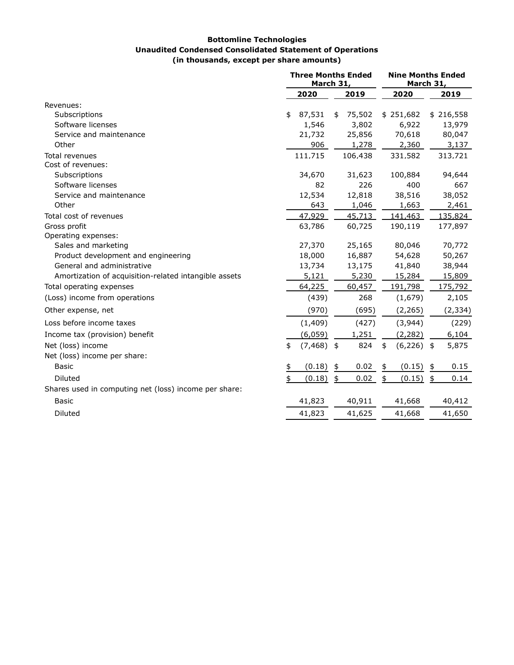# **Bottomline Technologies Unaudited Condensed Consolidated Statement of Operations (in thousands, except per share amounts)**

|                                                       | <b>Three Months Ended</b><br>March 31, |    |         | <b>Nine Months Ended</b><br>March 31, |              |    |           |  |
|-------------------------------------------------------|----------------------------------------|----|---------|---------------------------------------|--------------|----|-----------|--|
|                                                       | 2020                                   |    | 2019    |                                       | 2020         |    | 2019      |  |
| Revenues:                                             |                                        |    |         |                                       |              |    |           |  |
| Subscriptions                                         | \$<br>87,531                           | \$ | 75,502  |                                       | \$251,682    |    | \$216,558 |  |
| Software licenses                                     | 1,546                                  |    | 3,802   |                                       | 6,922        |    | 13,979    |  |
| Service and maintenance                               | 21,732                                 |    | 25,856  |                                       | 70,618       |    | 80,047    |  |
| Other                                                 | 906                                    |    | 1,278   |                                       | 2,360        |    | 3,137     |  |
| Total revenues                                        | 111,715                                |    | 106,438 |                                       | 331,582      |    | 313,721   |  |
| Cost of revenues:                                     |                                        |    |         |                                       |              |    |           |  |
| Subscriptions                                         | 34,670                                 |    | 31,623  |                                       | 100,884      |    | 94,644    |  |
| Software licenses                                     | 82                                     |    | 226     |                                       | 400          |    | 667       |  |
| Service and maintenance                               | 12,534                                 |    | 12,818  |                                       | 38,516       |    | 38,052    |  |
| Other                                                 | 643                                    |    | 1,046   |                                       | 1,663        |    | 2,461     |  |
| Total cost of revenues                                | 47,929                                 |    | 45,713  |                                       | 141,463      |    | 135,824   |  |
| Gross profit                                          | 63,786                                 |    | 60,725  |                                       | 190,119      |    | 177,897   |  |
| Operating expenses:                                   |                                        |    |         |                                       |              |    |           |  |
| Sales and marketing                                   | 27,370                                 |    | 25,165  |                                       | 80,046       |    | 70,772    |  |
| Product development and engineering                   | 18,000                                 |    | 16,887  |                                       | 54,628       |    | 50,267    |  |
| General and administrative                            | 13,734                                 |    | 13,175  |                                       | 41,840       |    | 38,944    |  |
| Amortization of acquisition-related intangible assets | 5,121                                  |    | 5,230   |                                       | 15,284       |    | 15,809    |  |
| Total operating expenses                              | 64,225                                 |    | 60,457  |                                       | 191,798      |    | 175,792   |  |
| (Loss) income from operations                         | (439)                                  |    | 268     |                                       | (1,679)      |    | 2,105     |  |
| Other expense, net                                    | (970)                                  |    | (695)   |                                       | (2, 265)     |    | (2, 334)  |  |
| Loss before income taxes                              | (1,409)                                |    | (427)   |                                       | (3,944)      |    | (229)     |  |
| Income tax (provision) benefit                        | (6,059)                                |    | 1,251   |                                       | (2, 282)     |    | 6,104     |  |
| Net (loss) income                                     | \$<br>$(7,468)$ \$                     |    | 824     | \$                                    | $(6,226)$ \$ |    | 5,875     |  |
| Net (loss) income per share:                          |                                        |    |         |                                       |              |    |           |  |
| <b>Basic</b>                                          | \$<br>(0.18)                           | \$ | 0.02    | \$                                    | $(0.15)$ \$  |    | 0.15      |  |
| <b>Diluted</b>                                        | \$<br>(0.18)                           | \$ | 0.02    | \$                                    | (0.15)       | \$ | 0.14      |  |
| Shares used in computing net (loss) income per share: |                                        |    |         |                                       |              |    |           |  |
| <b>Basic</b>                                          | 41,823                                 |    | 40,911  |                                       | 41,668       |    | 40,412    |  |
| <b>Diluted</b>                                        | 41,823                                 |    | 41,625  |                                       | 41,668       |    | 41,650    |  |